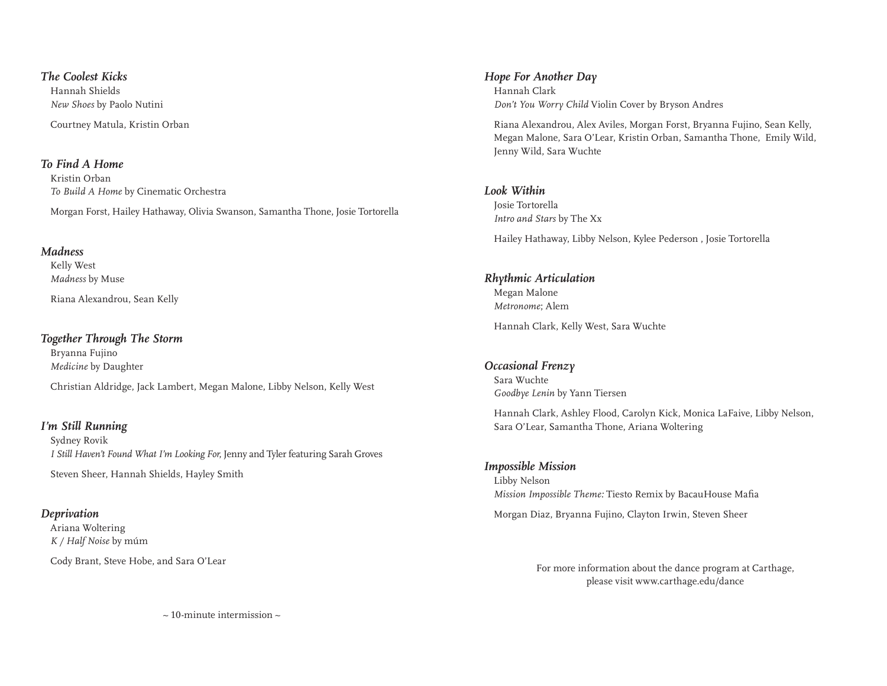#### *The Coolest Kicks*

Hannah Shields *New Shoes* by Paolo Nutini Courtney Matula, Kristin Orban

#### *To Find A Home*

Kristin Orban *To Build A Home* by Cinematic Orchestra Morgan Forst, Hailey Hathaway, Olivia Swanson, Samantha Thone, Josie Tortorella

#### *Madness*

Kelly West *Madness* by Muse

Riana Alexandrou, Sean Kelly

#### *Together Through The Storm*

Bryanna Fujino *Medicine* by Daughter Christian Aldridge, Jack Lambert, Megan Malone, Libby Nelson, Kelly West

# *I'm Still Running*

Sydney Rovik *I Still Haven't Found What I'm Looking For*, Jenny and Tyler featuring Sarah Groves

Steven Sheer, Hannah Shields, Hayley Smith

### *Deprivation*

Ariana Woltering *K / Half Noise* by múm

Cody Brant, Steve Hobe, and Sara O'Lear

#### *Hope For Another Day*

Hannah Clark *Don't You Worry Child* Violin Cover by Bryson Andres

Riana Alexandrou, Alex Aviles, Morgan Forst, Bryanna Fujino, Sean Kelly, Megan Malone, Sara O'Lear, Kristin Orban, Samantha Thone, Emily Wild, Jenny Wild, Sara Wuchte

### *Look Within*

Josie Tortorella *Intro and Stars* by The Xx

Hailey Hathaway, Libby Nelson, Kylee Pederson , Josie Tortorella

# *Rhythmic Articulation* Megan Malone *Metronome*; Alem

Hannah Clark, Kelly West, Sara Wuchte

# *Occasional Frenzy* Sara Wuchte *Goodbye Lenin* by Yann Tiersen

Hannah Clark, Ashley Flood, Carolyn Kick, Monica LaFaive, Libby Nelson, Sara O'Lear, Samantha Thone, Ariana Woltering

# *Impossible Mission*

Libby Nelson *Mission Impossible Theme:* Tiesto Remix by BacauHouse Mafia

Morgan Diaz, Bryanna Fujino, Clayton Irwin, Steven Sheer

For more information about the dance program at Carthage, please visit www.carthage.edu/dance

 $\sim$  10-minute intermission  $\sim$